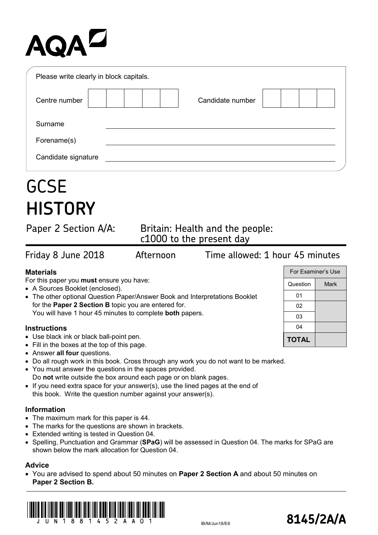# AQA<sup>D</sup>

| Please write clearly in block capitals. |                  |  |  |  |  |
|-----------------------------------------|------------------|--|--|--|--|
| Centre number                           | Candidate number |  |  |  |  |
| Surname                                 |                  |  |  |  |  |
| Forename(s)                             |                  |  |  |  |  |
| Candidate signature                     |                  |  |  |  |  |

## **GCSE HISTORY**

### Paper 2 Section A/A: Britain: Health and the people: c1000 to the present day

Friday 8 June 2018 Afternoon Time allowed: 1 hour 45 minutes

#### **Materials**

For this paper you **must** ensure you have:

- A Sources Booklet (enclosed).
- The other optional Question Paper/Answer Book and Interpretations Booklet for the **Paper 2 Section B** topic you are entered for. You will have 1 hour 45 minutes to complete **both** papers.

#### **Instructions**

- Use black ink or black ball-point pen.
- Fill in the boxes at the top of this page.
- Answer **all four** questions.
- Do all rough work in this book. Cross through any work you do not want to be marked.
- You must answer the questions in the spaces provided. Do **not** write outside the box around each page or on blank pages.
- If you need extra space for your answer(s), use the lined pages at the end of this book. Write the question number against your answer(s).

#### **Information**

- The maximum mark for this paper is 44.
- The marks for the questions are shown in brackets.
- Extended writing is tested in Question 04.
- Spelling, Punctuation and Grammar (**SPaG**) will be assessed in Question 04. The marks for SPaG are shown below the mark allocation for Question 04.

#### **Advice**

• You are advised to spend about 50 minutes on **Paper 2 Section A** and about 50 minutes on **Paper 2 Section B.**





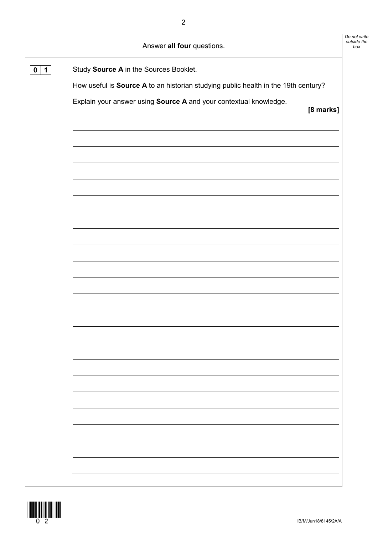|            | Answer all four questions.                                                         | Do not write<br>outside the<br>box |
|------------|------------------------------------------------------------------------------------|------------------------------------|
| $0 \mid 1$ | Study Source A in the Sources Booklet.                                             |                                    |
|            | How useful is Source A to an historian studying public health in the 19th century? |                                    |
|            | Explain your answer using Source A and your contextual knowledge.                  |                                    |
|            | [8 marks]                                                                          |                                    |
|            |                                                                                    |                                    |
|            |                                                                                    |                                    |
|            |                                                                                    |                                    |
|            |                                                                                    |                                    |
|            |                                                                                    |                                    |
|            |                                                                                    |                                    |
|            |                                                                                    |                                    |
|            |                                                                                    |                                    |
|            |                                                                                    |                                    |
|            |                                                                                    |                                    |
|            |                                                                                    |                                    |
|            |                                                                                    |                                    |
|            |                                                                                    |                                    |
|            |                                                                                    |                                    |
|            |                                                                                    |                                    |
|            |                                                                                    |                                    |
|            |                                                                                    |                                    |
|            |                                                                                    |                                    |
|            |                                                                                    |                                    |
|            |                                                                                    |                                    |
|            |                                                                                    |                                    |
|            |                                                                                    |                                    |
|            |                                                                                    |                                    |

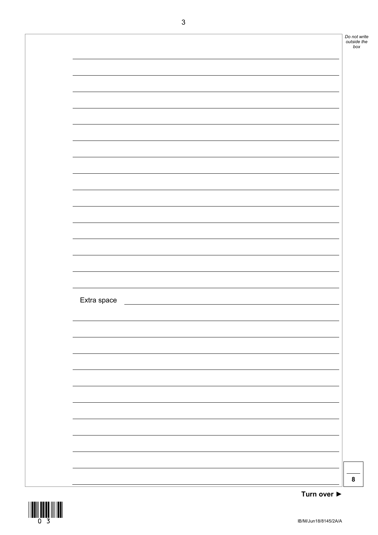|             | Do not write<br>outside the |
|-------------|-----------------------------|
|             | box                         |
|             |                             |
|             |                             |
|             |                             |
|             |                             |
|             |                             |
|             |                             |
|             |                             |
|             |                             |
|             |                             |
|             |                             |
|             |                             |
|             |                             |
|             |                             |
|             |                             |
|             |                             |
|             |                             |
|             |                             |
|             |                             |
|             |                             |
|             |                             |
|             |                             |
| Extra space |                             |
|             |                             |
|             |                             |
|             |                             |
|             |                             |
|             |                             |
|             |                             |
|             |                             |
|             |                             |
|             |                             |
|             |                             |
|             |                             |
|             |                             |
|             |                             |
|             |                             |
|             |                             |
|             | $\bf{8}$                    |
|             |                             |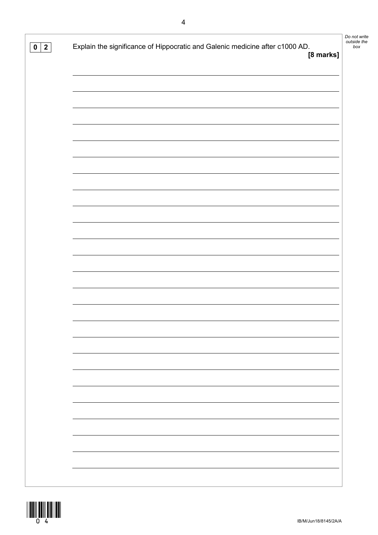| $\mathbf{2}$<br>$\mathbf 0$ | Explain the significance of Hippocratic and Galenic medicine after c1000 AD.<br>[8 marks] | Do not write<br>outside the<br>box |
|-----------------------------|-------------------------------------------------------------------------------------------|------------------------------------|
|                             |                                                                                           |                                    |
|                             |                                                                                           |                                    |
|                             |                                                                                           |                                    |
|                             |                                                                                           |                                    |
|                             |                                                                                           |                                    |
|                             |                                                                                           |                                    |
|                             |                                                                                           |                                    |
|                             |                                                                                           |                                    |
|                             |                                                                                           |                                    |
|                             |                                                                                           |                                    |
|                             |                                                                                           |                                    |
|                             |                                                                                           |                                    |
|                             |                                                                                           |                                    |
|                             |                                                                                           |                                    |
|                             |                                                                                           |                                    |
|                             |                                                                                           |                                    |
|                             |                                                                                           |                                    |
|                             |                                                                                           |                                    |

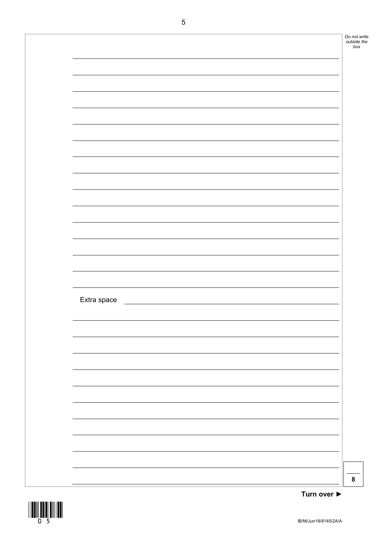| Extra space |  |  |  |
|-------------|--|--|--|
|             |  |  |  |
|             |  |  |  |
|             |  |  |  |
|             |  |  |  |
|             |  |  |  |
|             |  |  |  |
|             |  |  |  |
|             |  |  |  |
|             |  |  |  |
|             |  |  |  |
|             |  |  |  |
|             |  |  |  |
|             |  |  |  |
|             |  |  |  |
|             |  |  |  |
|             |  |  |  |
|             |  |  |  |

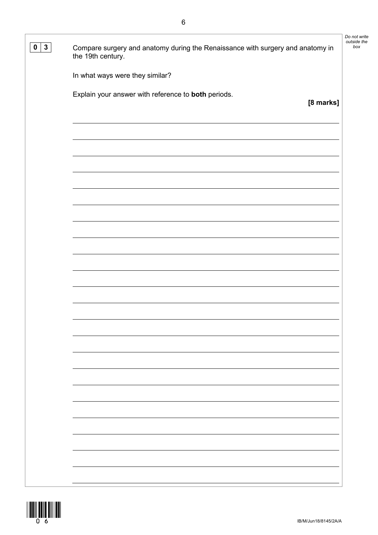| $\mathbf{3}$<br>$\mathbf 0$ | Compare surgery and anatomy during the Renaissance with surgery and anatomy in<br>the 19th century. | Do not write<br>outside the<br>box |
|-----------------------------|-----------------------------------------------------------------------------------------------------|------------------------------------|
|                             | In what ways were they similar?                                                                     |                                    |
|                             | Explain your answer with reference to both periods.<br>[8 marks]                                    |                                    |
|                             |                                                                                                     |                                    |
|                             |                                                                                                     |                                    |
|                             |                                                                                                     |                                    |
|                             |                                                                                                     |                                    |
|                             |                                                                                                     |                                    |
|                             |                                                                                                     |                                    |
|                             |                                                                                                     |                                    |
|                             |                                                                                                     |                                    |
|                             |                                                                                                     |                                    |
|                             |                                                                                                     |                                    |
|                             |                                                                                                     |                                    |
|                             |                                                                                                     |                                    |
|                             |                                                                                                     |                                    |

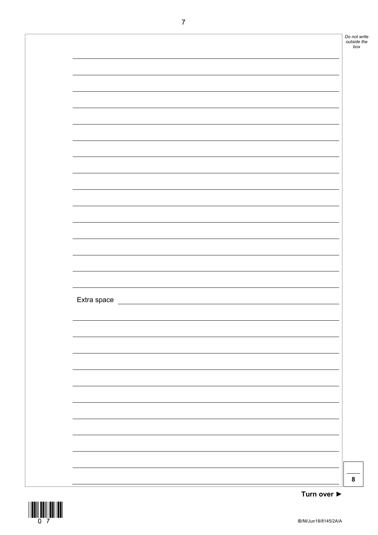|                                                                 | Do not write<br>outside the |
|-----------------------------------------------------------------|-----------------------------|
|                                                                 | box                         |
|                                                                 |                             |
|                                                                 |                             |
|                                                                 |                             |
|                                                                 |                             |
|                                                                 |                             |
|                                                                 |                             |
|                                                                 |                             |
|                                                                 |                             |
|                                                                 |                             |
|                                                                 |                             |
|                                                                 |                             |
|                                                                 |                             |
|                                                                 |                             |
|                                                                 |                             |
|                                                                 |                             |
|                                                                 |                             |
|                                                                 |                             |
|                                                                 |                             |
|                                                                 |                             |
|                                                                 |                             |
|                                                                 |                             |
|                                                                 |                             |
|                                                                 |                             |
| Extra space<br><u> 1980 - Johann Barbara, martxa amerikan p</u> |                             |
|                                                                 |                             |
|                                                                 |                             |
|                                                                 |                             |
|                                                                 |                             |
|                                                                 |                             |
|                                                                 |                             |
|                                                                 |                             |
|                                                                 |                             |
|                                                                 |                             |
|                                                                 |                             |
|                                                                 |                             |
|                                                                 |                             |
|                                                                 |                             |
|                                                                 |                             |
|                                                                 |                             |
|                                                                 |                             |
|                                                                 | 8                           |

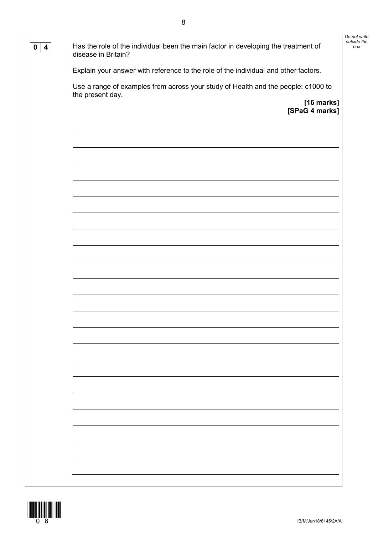

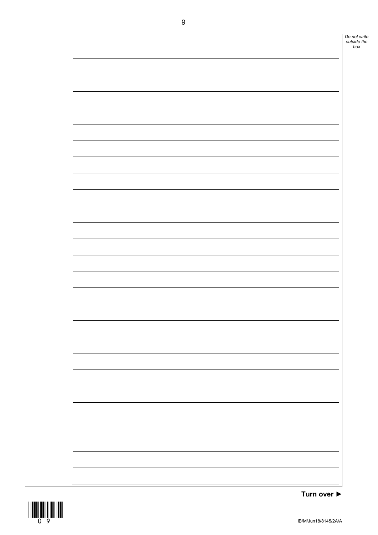



**Turn over ►**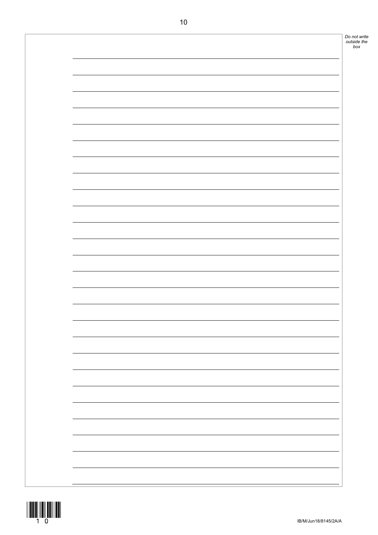

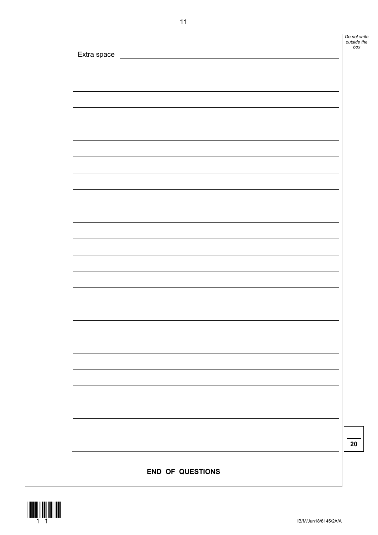| Extra space      | box |
|------------------|-----|
|                  |     |
|                  |     |
|                  |     |
|                  |     |
|                  |     |
|                  |     |
|                  |     |
|                  |     |
|                  |     |
|                  |     |
|                  |     |
|                  |     |
|                  |     |
|                  |     |
|                  |     |
|                  |     |
|                  |     |
|                  |     |
|                  |     |
|                  |     |
|                  |     |
|                  |     |
|                  |     |
|                  |     |
|                  | 20  |
|                  |     |
| END OF QUESTIONS |     |

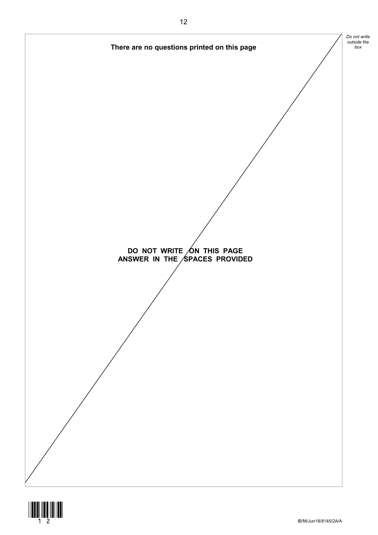

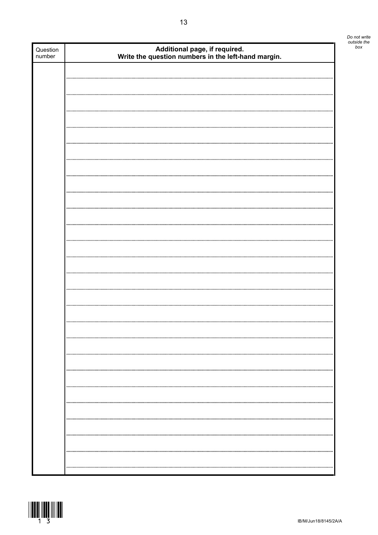| Question<br>number | Additional page, if required.<br>Write the question numbers in the left-hand margin. | outsiae<br>دەط |
|--------------------|--------------------------------------------------------------------------------------|----------------|
|                    |                                                                                      |                |
|                    |                                                                                      |                |
|                    |                                                                                      |                |
|                    |                                                                                      |                |
|                    |                                                                                      |                |
|                    |                                                                                      |                |
|                    |                                                                                      |                |
|                    |                                                                                      |                |
|                    |                                                                                      |                |
|                    |                                                                                      |                |
|                    |                                                                                      |                |
|                    |                                                                                      |                |
|                    |                                                                                      |                |
|                    |                                                                                      |                |
|                    |                                                                                      |                |
|                    |                                                                                      |                |
|                    |                                                                                      |                |
|                    |                                                                                      |                |
|                    |                                                                                      |                |
|                    |                                                                                      |                |
|                    |                                                                                      |                |
|                    |                                                                                      |                |
|                    |                                                                                      |                |
|                    |                                                                                      |                |
|                    |                                                                                      |                |
|                    |                                                                                      |                |
|                    |                                                                                      |                |
|                    |                                                                                      |                |
|                    |                                                                                      |                |
|                    |                                                                                      |                |

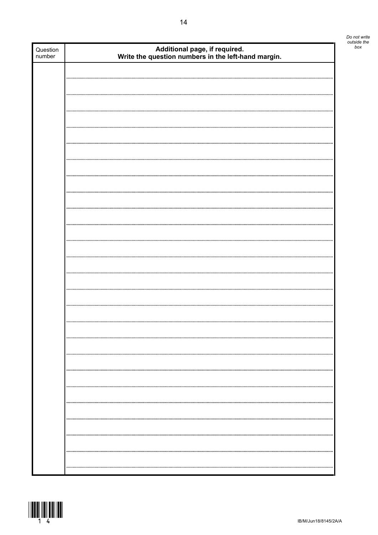| Question<br>number | Additional page, if required.<br>Write the question numbers in the left-hand margin. | outsiae<br>bo) |
|--------------------|--------------------------------------------------------------------------------------|----------------|
|                    |                                                                                      |                |
|                    |                                                                                      |                |
|                    |                                                                                      |                |
|                    |                                                                                      |                |
|                    |                                                                                      |                |
|                    |                                                                                      |                |
|                    |                                                                                      |                |
|                    |                                                                                      |                |
|                    |                                                                                      |                |
|                    |                                                                                      |                |
|                    |                                                                                      |                |
|                    |                                                                                      |                |
|                    |                                                                                      |                |
|                    |                                                                                      |                |
|                    |                                                                                      |                |
|                    |                                                                                      |                |
|                    |                                                                                      |                |
|                    |                                                                                      |                |
|                    |                                                                                      |                |
|                    |                                                                                      |                |
|                    |                                                                                      |                |
|                    |                                                                                      |                |
|                    |                                                                                      |                |
|                    |                                                                                      |                |
|                    |                                                                                      |                |
|                    |                                                                                      |                |
|                    |                                                                                      |                |
|                    |                                                                                      |                |
|                    |                                                                                      |                |
|                    |                                                                                      |                |
|                    |                                                                                      |                |
|                    |                                                                                      |                |
|                    |                                                                                      |                |
|                    |                                                                                      |                |
|                    |                                                                                      |                |
|                    |                                                                                      |                |
|                    |                                                                                      |                |
|                    |                                                                                      |                |
|                    |                                                                                      |                |
|                    |                                                                                      |                |
|                    |                                                                                      |                |
|                    |                                                                                      |                |
|                    | <br>                                                                                 |                |

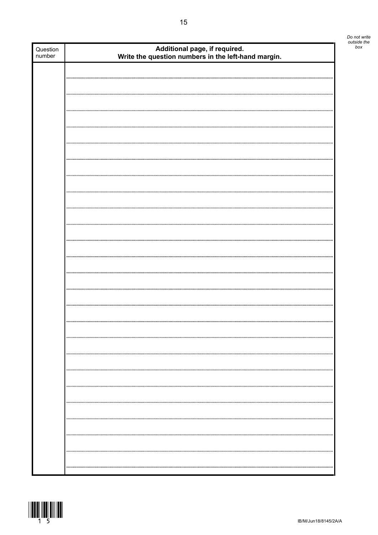| Question<br>number | Additional page, if required.<br>Write the question numbers in the left-hand margin. | outside |
|--------------------|--------------------------------------------------------------------------------------|---------|
|                    |                                                                                      |         |
|                    |                                                                                      |         |
|                    |                                                                                      |         |
|                    |                                                                                      |         |
|                    |                                                                                      |         |
|                    |                                                                                      |         |
|                    |                                                                                      |         |
|                    |                                                                                      |         |
|                    |                                                                                      |         |
|                    |                                                                                      |         |
|                    |                                                                                      |         |
|                    |                                                                                      |         |
|                    |                                                                                      |         |
|                    |                                                                                      |         |
|                    |                                                                                      |         |
|                    |                                                                                      |         |
|                    |                                                                                      |         |
|                    |                                                                                      |         |
|                    |                                                                                      |         |
|                    |                                                                                      |         |
|                    |                                                                                      |         |
|                    |                                                                                      |         |
|                    |                                                                                      |         |
|                    |                                                                                      |         |
|                    |                                                                                      |         |
|                    |                                                                                      |         |
|                    |                                                                                      |         |
|                    |                                                                                      |         |
|                    |                                                                                      |         |
|                    |                                                                                      |         |
|                    |                                                                                      |         |
|                    |                                                                                      |         |
|                    |                                                                                      |         |